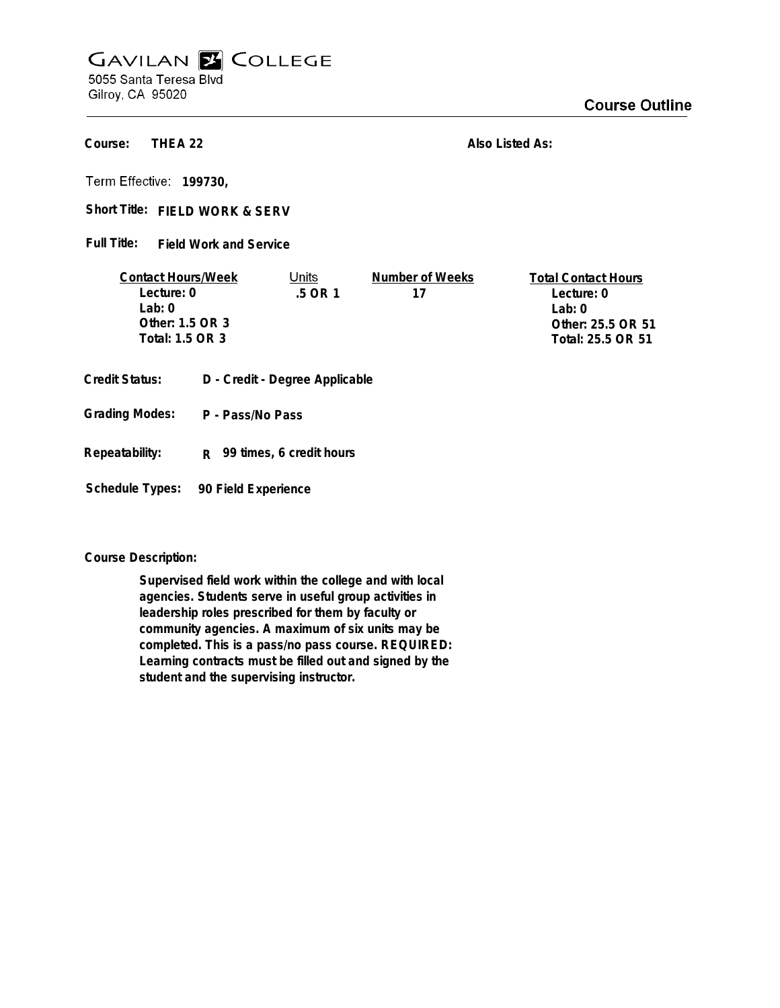## **GAVILAN E COLLEGE** 5055 Santa Teresa Blvd

Gilroy, CA 95020

## **Course Outline**

**THEA 22 Course:**

**Also Listed As:**

**199730,**

Short Title: FIELD WORK & SERV

**Field Work and Service Full Title:**

| <b>Contact Hours/Week</b> | Units  | Number of Weeks | <b>Total Contact Hours</b> |
|---------------------------|--------|-----------------|----------------------------|
| Lecture: 0                | 5 OR 1 | 17              | Lecture: 0                 |
| $1$ ab: $0$               |        |                 | l ab: 0                    |
| Other: 1.5 OR 3           |        |                 | Other: 25.5 OR 51          |
| Total: 1.5 OR 3           |        |                 | Total: 25.5 OR 51          |
|                           |        |                 |                            |

- **Credit Status: D Credit Degree Applicable**
- **P Pass/No Pass Grading Modes:**
- **Repeatability: R 99 times, 6 credit hours**

**Schedule Types: 90 Field Experience**

**Course Description:**

**Supervised field work within the college and with local agencies. Students serve in useful group activities in leadership roles prescribed for them by faculty or community agencies. A maximum of six units may be completed. This is a pass/no pass course. REQUIRED: Learning contracts must be filled out and signed by the student and the supervising instructor.**